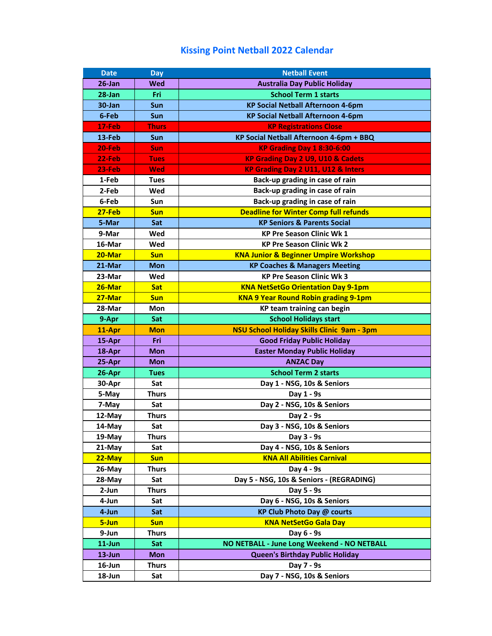## **Kissing Point Netball 2022 Calendar**

| <b>Date</b> | <b>Day</b>   | <b>Netball Event</b>                              |
|-------------|--------------|---------------------------------------------------|
| $26$ -Jan   | Wed          | <b>Australia Day Public Holiday</b>               |
| $28 - Jan$  | Fri          | <b>School Term 1 starts</b>                       |
| 30-Jan      | Sun          | <b>KP Social Netball Afternoon 4-6pm</b>          |
| 6-Feb       | Sun          | <b>KP Social Netball Afternoon 4-6pm</b>          |
| 17-Feb      | <b>Thurs</b> | <b>KP Registrations Close</b>                     |
| 13-Feb      | Sun          | KP Social Netball Afternoon 4-6pm + BBQ           |
| 20-Feb      | Sun          | <b>KP Grading Day 1 8:30-6:00</b>                 |
| 22-Feb      | <b>Tues</b>  | <b>KP Grading Day 2 U9, U10 &amp; Cadets</b>      |
| 23-Feb      | Wed          | KP Grading Day 2 U11, U12 & Inters                |
| 1-Feb       | <b>Tues</b>  | Back-up grading in case of rain                   |
| 2-Feb       | Wed          | Back-up grading in case of rain                   |
| 6-Feb       | Sun          | Back-up grading in case of rain                   |
| $27$ -Feb   | <b>Sun</b>   | <b>Deadline for Winter Comp full refunds</b>      |
| 5-Mar       | Sat          | <b>KP Seniors &amp; Parents Social</b>            |
| 9-Mar       | Wed          | <b>KP Pre Season Clinic Wk 1</b>                  |
| 16-Mar      | Wed          | <b>KP Pre Season Clinic Wk 2</b>                  |
| 20-Mar      | <b>Sun</b>   | <b>KNA Junior &amp; Beginner Umpire Workshop</b>  |
| 21-Mar      | <b>Mon</b>   | <b>KP Coaches &amp; Managers Meeting</b>          |
| 23-Mar      | Wed          | <b>KP Pre Season Clinic Wk 3</b>                  |
| 26-Mar      | <b>Sat</b>   | <b>KNA NetSetGo Orientation Day 9-1pm</b>         |
| 27-Mar      | <b>Sun</b>   | <b>KNA 9 Year Round Robin grading 9-1pm</b>       |
| 28-Mar      | Mon          | KP team training can begin                        |
| 9-Apr       | Sat          | <b>School Holidays start</b>                      |
| 11-Apr      | <b>Mon</b>   | <b>NSU School Holiday Skills Clinic 9am - 3pm</b> |
| 15-Apr      | Fri          | <b>Good Friday Public Holiday</b>                 |
| 18-Apr      | <b>Mon</b>   | <b>Easter Monday Public Holiday</b>               |
| 25-Apr      | Mon          | <b>ANZAC Day</b>                                  |
| 26-Apr      | <b>Tues</b>  | <b>School Term 2 starts</b>                       |
| 30-Apr      | Sat          | Day 1 - NSG, 10s & Seniors                        |
| 5-May       | <b>Thurs</b> | Day 1 - 9s                                        |
| 7-May       | Sat          | Day 2 - NSG, 10s & Seniors                        |
| 12-May      | <b>Thurs</b> | Day 2 - 9s                                        |
| 14-May      | Sat          | Day 3 - NSG, 10s & Seniors                        |
| $19$ -May   | <b>Thurs</b> | Day 3 - 9s                                        |
| 21-May      | Sat          | Day 4 - NSG, 10s & Seniors                        |
| 22-May      | <b>Sun</b>   | <b>KNA All Abilities Carnival</b>                 |
| 26-May      | <b>Thurs</b> | Day 4 - 9s                                        |
| $28$ -May   | Sat          | Day 5 - NSG, 10s & Seniors - (REGRADING)          |
| 2-Jun       | <b>Thurs</b> | Day 5 - 9s                                        |
| 4-Jun       | Sat          | Day 6 - NSG, 10s & Seniors                        |
| 4-Jun       | Sat          | <b>KP Club Photo Day @ courts</b>                 |
| 5-Jun       | <b>Sun</b>   | <b>KNA NetSetGo Gala Day</b>                      |
| 9-Jun       | <b>Thurs</b> | Day 6 - 9s                                        |
| 11-Jun      | Sat          | NO NETBALL - June Long Weekend - NO NETBALL       |
| $13 - Jun$  | <b>Mon</b>   | Queen's Birthday Public Holiday                   |
| 16-Jun      | <b>Thurs</b> | Day 7 - 9s                                        |
| 18-Jun      | Sat          | Day 7 - NSG, 10s & Seniors                        |